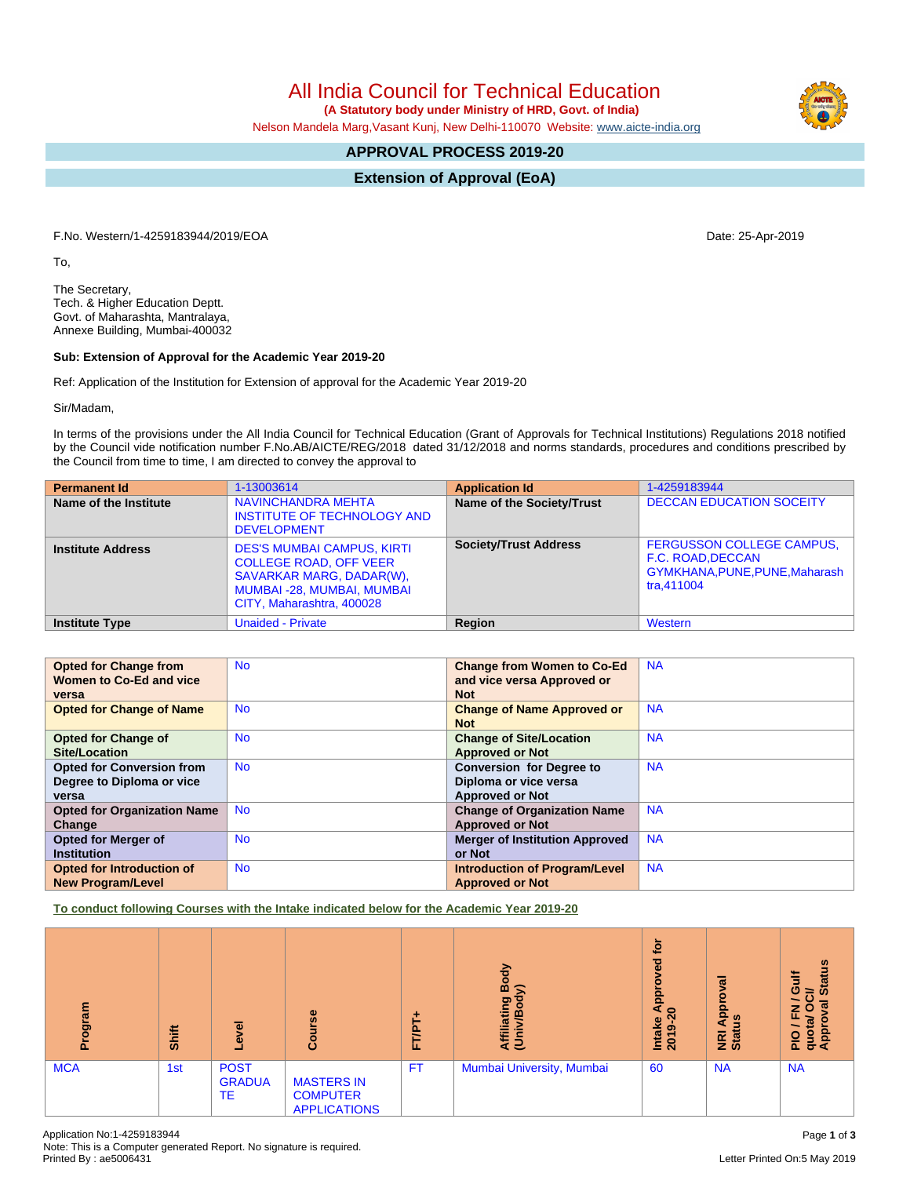Note: This is a Computer generated Report. No signature is required.

# All India Council for Technical Education

 **(A Statutory body under Ministry of HRD, Govt. of India)**

Nelson Mandela Marg,Vasant Kunj, New Delhi-110070 Website: [www.aicte-india.org](http://www.aicte-india.org)

## **APPROVAL PROCESS 2019-20**

**Extension of Approval (EoA)**

F.No. Western/1-4259183944/2019/EOA Date: 25-Apr-2019

To,

The Secretary, Tech. & Higher Education Deptt. Govt. of Maharashta, Mantralaya, Annexe Building, Mumbai-400032

#### **Sub: Extension of Approval for the Academic Year 2019-20**

Ref: Application of the Institution for Extension of approval for the Academic Year 2019-20

Sir/Madam,

In terms of the provisions under the All India Council for Technical Education (Grant of Approvals for Technical Institutions) Regulations 2018 notified by the Council vide notification number F.No.AB/AICTE/REG/2018 dated 31/12/2018 and norms standards, procedures and conditions prescribed by the Council from time to time, I am directed to convey the approval to

| <b>Permanent Id</b>      | 1-13003614                                                                                                                                                             | <b>Application Id</b>        | 1-4259183944                                                                                          |
|--------------------------|------------------------------------------------------------------------------------------------------------------------------------------------------------------------|------------------------------|-------------------------------------------------------------------------------------------------------|
| Name of the Institute    | <b>NAVINCHANDRA MEHTA</b><br><b>INSTITUTE OF TECHNOLOGY AND</b><br><b>DEVELOPMENT</b>                                                                                  | Name of the Society/Trust    | <b>DECCAN EDUCATION SOCEITY</b>                                                                       |
| <b>Institute Address</b> | <b>DES'S MUMBAI CAMPUS, KIRTI</b><br><b>COLLEGE ROAD, OFF VEER</b><br><b>SAVARKAR MARG, DADAR(W),</b><br><b>MUMBAI-28, MUMBAI, MUMBAI</b><br>CITY, Maharashtra, 400028 | <b>Society/Trust Address</b> | <b>FERGUSSON COLLEGE CAMPUS,</b><br>F.C. ROAD, DECCAN<br>GYMKHANA, PUNE, PUNE, Maharash<br>tra.411004 |
| <b>Institute Type</b>    | <b>Unaided - Private</b>                                                                                                                                               | Region                       | Western                                                                                               |

| <b>Opted for Change from</b>       | <b>No</b> | <b>Change from Women to Co-Ed</b>     | <b>NA</b> |
|------------------------------------|-----------|---------------------------------------|-----------|
| Women to Co-Ed and vice            |           | and vice versa Approved or            |           |
| versa                              |           | <b>Not</b>                            |           |
| <b>Opted for Change of Name</b>    | <b>No</b> | <b>Change of Name Approved or</b>     | <b>NA</b> |
|                                    |           | <b>Not</b>                            |           |
| <b>Opted for Change of</b>         | <b>No</b> | <b>Change of Site/Location</b>        | <b>NA</b> |
| Site/Location                      |           | <b>Approved or Not</b>                |           |
| <b>Opted for Conversion from</b>   | <b>No</b> | <b>Conversion for Degree to</b>       | <b>NA</b> |
| Degree to Diploma or vice          |           | Diploma or vice versa                 |           |
| versa                              |           | <b>Approved or Not</b>                |           |
| <b>Opted for Organization Name</b> | <b>No</b> | <b>Change of Organization Name</b>    | <b>NA</b> |
| Change                             |           | <b>Approved or Not</b>                |           |
| <b>Opted for Merger of</b>         | <b>No</b> | <b>Merger of Institution Approved</b> | <b>NA</b> |
| <b>Institution</b>                 |           | or Not                                |           |
| <b>Opted for Introduction of</b>   | <b>No</b> | <b>Introduction of Program/Level</b>  | <b>NA</b> |
| <b>New Program/Level</b>           |           | <b>Approved or Not</b>                |           |

**To conduct following Courses with the Intake indicated below for the Academic Year 2019-20**

| Program    | Shift | बृ<br>٥                                   | Course                                                      | ۰<br><b>FT/PT</b> | Body<br>$\widehat{\phantom{a}}$<br>Affiliating<br>(Univ/Bod <sub>)</sub> | ٠ĕ<br>ढ़<br>௨<br>ō<br>a<br>$\circ$<br>Intake<br>2019-2 | ᠊ᢛ<br>௨<br>$\mathbf{\Omega}$<br>g<br>a<br><b>BE</b><br>Stat | <b>Status</b><br>Ë<br>O<br>吊<br>z<br>c<br>щ<br>quot<br>Appr<br>$\frac{1}{2}$ |
|------------|-------|-------------------------------------------|-------------------------------------------------------------|-------------------|--------------------------------------------------------------------------|--------------------------------------------------------|-------------------------------------------------------------|------------------------------------------------------------------------------|
| <b>MCA</b> | 1st   | <b>POST</b><br><b>GRADUA</b><br><b>TE</b> | <b>MASTERS IN</b><br><b>COMPUTER</b><br><b>APPLICATIONS</b> | <b>FT</b>         | Mumbai University, Mumbai                                                | 60                                                     | <b>NA</b>                                                   | <b>NA</b>                                                                    |

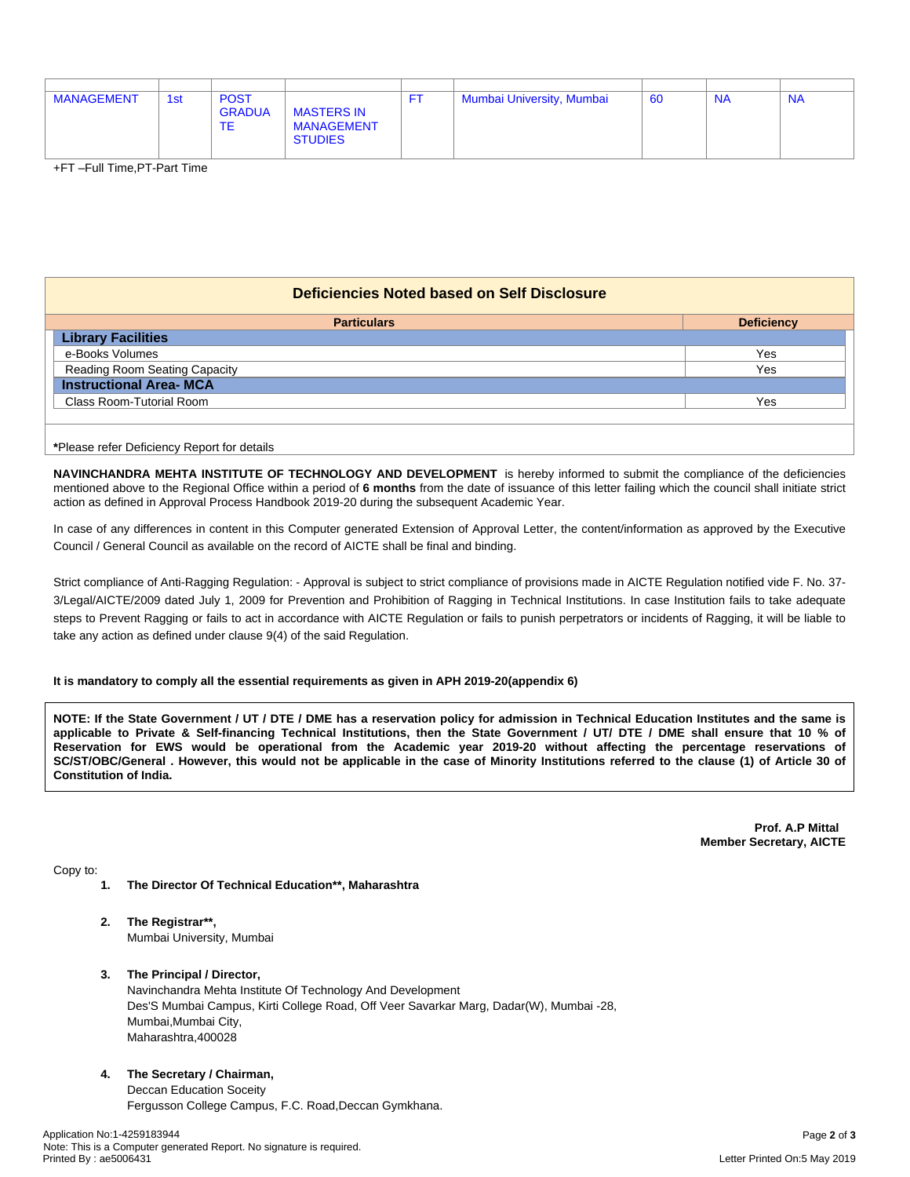| <b>MANAGEMENT</b> | 1st | <b>POST</b><br><b>GRADUA</b><br><b>TE</b> | <b>MASTERS IN</b><br><b>MANAGEMENT</b><br><b>STUDIES</b> | FT. | Mumbai University, Mumbai | 60 | <b>NA</b> | <b>NA</b> |
|-------------------|-----|-------------------------------------------|----------------------------------------------------------|-----|---------------------------|----|-----------|-----------|

+FT –Full Time,PT-Part Time

## **Deficiencies Noted based on Self Disclosure**

| <b>Particulars</b>             | <b>Deficiency</b> |
|--------------------------------|-------------------|
| <b>Library Facilities</b>      |                   |
| e-Books Volumes                | Yes               |
| Reading Room Seating Capacity  | Yes               |
| <b>Instructional Area- MCA</b> |                   |
| Class Room-Tutorial Room       | Yes               |
|                                |                   |
|                                |                   |

**\***Please refer Deficiency Report for details

**NAVINCHANDRA MEHTA INSTITUTE OF TECHNOLOGY AND DEVELOPMENT** is hereby informed to submit the compliance of the deficiencies mentioned above to the Regional Office within a period of **6 months** from the date of issuance of this letter failing which the council shall initiate strict action as defined in Approval Process Handbook 2019-20 during the subsequent Academic Year.

In case of any differences in content in this Computer generated Extension of Approval Letter, the content/information as approved by the Executive Council / General Council as available on the record of AICTE shall be final and binding.

Strict compliance of Anti-Ragging Regulation: - Approval is subject to strict compliance of provisions made in AICTE Regulation notified vide F. No. 37- 3/Legal/AICTE/2009 dated July 1, 2009 for Prevention and Prohibition of Ragging in Technical Institutions. In case Institution fails to take adequate steps to Prevent Ragging or fails to act in accordance with AICTE Regulation or fails to punish perpetrators or incidents of Ragging, it will be liable to take any action as defined under clause 9(4) of the said Regulation.

### **It is mandatory to comply all the essential requirements as given in APH 2019-20(appendix 6)**

NOTE: If the State Government / UT / DTE / DME has a reservation policy for admission in Technical Education Institutes and the same is applicable to Private & Self-financing Technical Institutions, then the State Government / UT/ DTE / DME shall ensure that 10 % of Reservation for EWS would be operational from the Academic year 2019-20 without affecting the percentage reservations of SC/ST/OBC/General . However, this would not be applicable in the case of Minority Institutions referred to the clause (1) of Article 30 of **Constitution of India.**

> **Prof. A.P Mittal Member Secretary, AICTE**

Copy to:

- **1. The Director Of Technical Education\*\*, Maharashtra**
- **2. The Registrar\*\*,** Mumbai University, Mumbai
- **3. The Principal / Director,**

Navinchandra Mehta Institute Of Technology And Development Des'S Mumbai Campus, Kirti College Road, Off Veer Savarkar Marg, Dadar(W), Mumbai -28, Mumbai,Mumbai City, Maharashtra,400028

**4. The Secretary / Chairman,**

Deccan Education Soceity Fergusson College Campus, F.C. Road,Deccan Gymkhana.